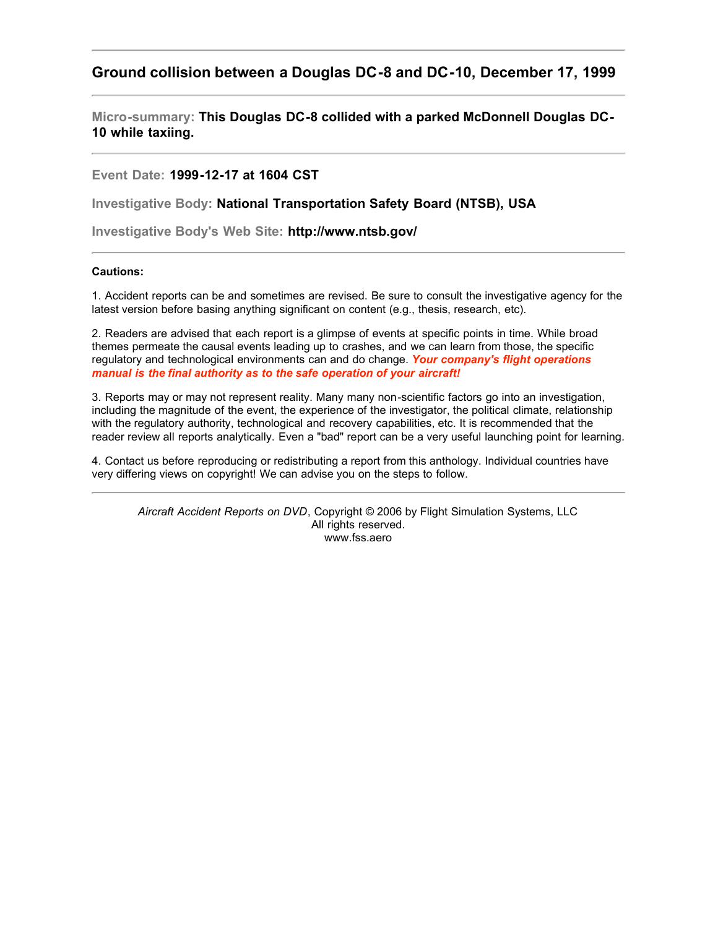## **Ground collision between a Douglas DC-8 and DC-10, December 17, 1999**

**Micro-summary: This Douglas DC-8 collided with a parked McDonnell Douglas DC-10 while taxiing.**

**Event Date: 1999-12-17 at 1604 CST**

**Investigative Body: National Transportation Safety Board (NTSB), USA**

**Investigative Body's Web Site: http://www.ntsb.gov/**

## **Cautions:**

1. Accident reports can be and sometimes are revised. Be sure to consult the investigative agency for the latest version before basing anything significant on content (e.g., thesis, research, etc).

2. Readers are advised that each report is a glimpse of events at specific points in time. While broad themes permeate the causal events leading up to crashes, and we can learn from those, the specific regulatory and technological environments can and do change. *Your company's flight operations manual is the final authority as to the safe operation of your aircraft!*

3. Reports may or may not represent reality. Many many non-scientific factors go into an investigation, including the magnitude of the event, the experience of the investigator, the political climate, relationship with the regulatory authority, technological and recovery capabilities, etc. It is recommended that the reader review all reports analytically. Even a "bad" report can be a very useful launching point for learning.

4. Contact us before reproducing or redistributing a report from this anthology. Individual countries have very differing views on copyright! We can advise you on the steps to follow.

*Aircraft Accident Reports on DVD*, Copyright © 2006 by Flight Simulation Systems, LLC All rights reserved. www.fss.aero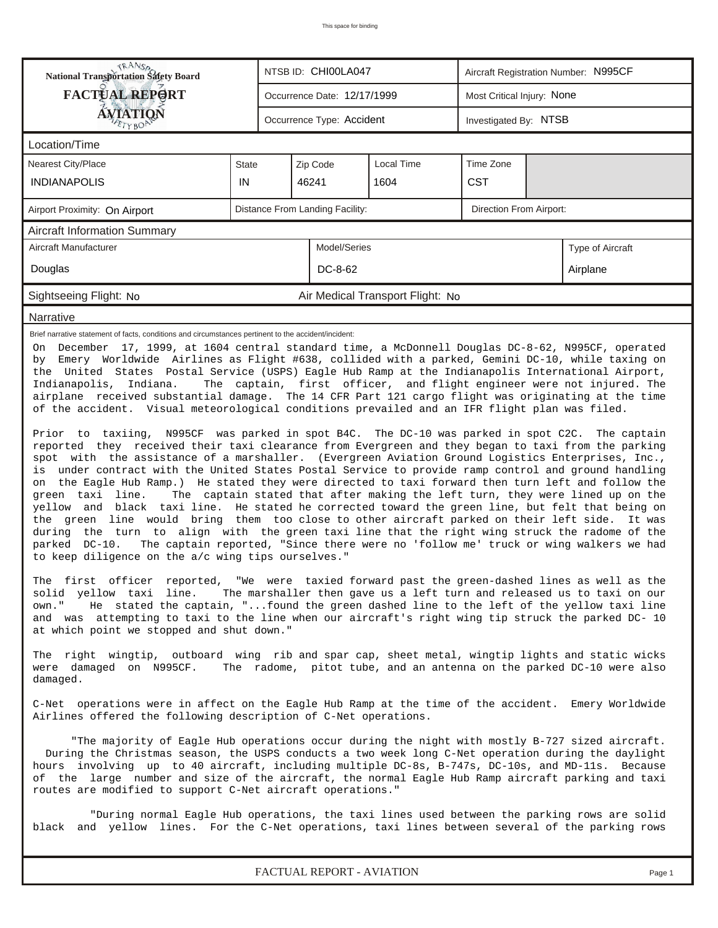| <b>National Transportation Safety Board</b>                                                                                                                                                                                                                                                                                                                                                                                                                                                                                                                                                                                                                                                                                                                                                                                                                                                                                                                                                                                                                                                                                                                                                                                                                                                                                                                                                                                                                                                                                                                                                                                                                                                                                                                                                                                                                                                                                                                                                                                                                                                                                                                                                                                                                                                                                                                                                                                                                                                                                                                                                                                                                                                                                                                                                                                                                                                                                                                                                                                                                                                                                                                                    |              | NTSB ID: CHI00LA047 |                                                    | Aircraft Registration Number: N995CF |                            |  |  |  |  |
|--------------------------------------------------------------------------------------------------------------------------------------------------------------------------------------------------------------------------------------------------------------------------------------------------------------------------------------------------------------------------------------------------------------------------------------------------------------------------------------------------------------------------------------------------------------------------------------------------------------------------------------------------------------------------------------------------------------------------------------------------------------------------------------------------------------------------------------------------------------------------------------------------------------------------------------------------------------------------------------------------------------------------------------------------------------------------------------------------------------------------------------------------------------------------------------------------------------------------------------------------------------------------------------------------------------------------------------------------------------------------------------------------------------------------------------------------------------------------------------------------------------------------------------------------------------------------------------------------------------------------------------------------------------------------------------------------------------------------------------------------------------------------------------------------------------------------------------------------------------------------------------------------------------------------------------------------------------------------------------------------------------------------------------------------------------------------------------------------------------------------------------------------------------------------------------------------------------------------------------------------------------------------------------------------------------------------------------------------------------------------------------------------------------------------------------------------------------------------------------------------------------------------------------------------------------------------------------------------------------------------------------------------------------------------------------------------------------------------------------------------------------------------------------------------------------------------------------------------------------------------------------------------------------------------------------------------------------------------------------------------------------------------------------------------------------------------------------------------------------------------------------------------------------------------------|--------------|---------------------|----------------------------------------------------|--------------------------------------|----------------------------|--|--|--|--|
| <b>FACTUAL REPORT</b>                                                                                                                                                                                                                                                                                                                                                                                                                                                                                                                                                                                                                                                                                                                                                                                                                                                                                                                                                                                                                                                                                                                                                                                                                                                                                                                                                                                                                                                                                                                                                                                                                                                                                                                                                                                                                                                                                                                                                                                                                                                                                                                                                                                                                                                                                                                                                                                                                                                                                                                                                                                                                                                                                                                                                                                                                                                                                                                                                                                                                                                                                                                                                          |              |                     | Occurrence Date: 12/17/1999                        |                                      | Most Critical Injury: None |  |  |  |  |
| <b>ÁVIATION</b><br>ETYBOP                                                                                                                                                                                                                                                                                                                                                                                                                                                                                                                                                                                                                                                                                                                                                                                                                                                                                                                                                                                                                                                                                                                                                                                                                                                                                                                                                                                                                                                                                                                                                                                                                                                                                                                                                                                                                                                                                                                                                                                                                                                                                                                                                                                                                                                                                                                                                                                                                                                                                                                                                                                                                                                                                                                                                                                                                                                                                                                                                                                                                                                                                                                                                      |              |                     | Occurrence Type: Accident<br>Investigated By: NTSB |                                      |                            |  |  |  |  |
| Location/Time                                                                                                                                                                                                                                                                                                                                                                                                                                                                                                                                                                                                                                                                                                                                                                                                                                                                                                                                                                                                                                                                                                                                                                                                                                                                                                                                                                                                                                                                                                                                                                                                                                                                                                                                                                                                                                                                                                                                                                                                                                                                                                                                                                                                                                                                                                                                                                                                                                                                                                                                                                                                                                                                                                                                                                                                                                                                                                                                                                                                                                                                                                                                                                  |              |                     |                                                    |                                      |                            |  |  |  |  |
| Nearest City/Place                                                                                                                                                                                                                                                                                                                                                                                                                                                                                                                                                                                                                                                                                                                                                                                                                                                                                                                                                                                                                                                                                                                                                                                                                                                                                                                                                                                                                                                                                                                                                                                                                                                                                                                                                                                                                                                                                                                                                                                                                                                                                                                                                                                                                                                                                                                                                                                                                                                                                                                                                                                                                                                                                                                                                                                                                                                                                                                                                                                                                                                                                                                                                             | State        |                     | Zip Code                                           | <b>Local Time</b>                    | Time Zone                  |  |  |  |  |
| <b>INDIANAPOLIS</b>                                                                                                                                                                                                                                                                                                                                                                                                                                                                                                                                                                                                                                                                                                                                                                                                                                                                                                                                                                                                                                                                                                                                                                                                                                                                                                                                                                                                                                                                                                                                                                                                                                                                                                                                                                                                                                                                                                                                                                                                                                                                                                                                                                                                                                                                                                                                                                                                                                                                                                                                                                                                                                                                                                                                                                                                                                                                                                                                                                                                                                                                                                                                                            | IN           | 46241<br>1604       |                                                    |                                      | <b>CST</b>                 |  |  |  |  |
| Distance From Landing Facility:<br>Direction From Airport:<br>Airport Proximity: On Airport                                                                                                                                                                                                                                                                                                                                                                                                                                                                                                                                                                                                                                                                                                                                                                                                                                                                                                                                                                                                                                                                                                                                                                                                                                                                                                                                                                                                                                                                                                                                                                                                                                                                                                                                                                                                                                                                                                                                                                                                                                                                                                                                                                                                                                                                                                                                                                                                                                                                                                                                                                                                                                                                                                                                                                                                                                                                                                                                                                                                                                                                                    |              |                     |                                                    |                                      |                            |  |  |  |  |
| <b>Aircraft Information Summary</b>                                                                                                                                                                                                                                                                                                                                                                                                                                                                                                                                                                                                                                                                                                                                                                                                                                                                                                                                                                                                                                                                                                                                                                                                                                                                                                                                                                                                                                                                                                                                                                                                                                                                                                                                                                                                                                                                                                                                                                                                                                                                                                                                                                                                                                                                                                                                                                                                                                                                                                                                                                                                                                                                                                                                                                                                                                                                                                                                                                                                                                                                                                                                            |              |                     |                                                    |                                      |                            |  |  |  |  |
| Aircraft Manufacturer                                                                                                                                                                                                                                                                                                                                                                                                                                                                                                                                                                                                                                                                                                                                                                                                                                                                                                                                                                                                                                                                                                                                                                                                                                                                                                                                                                                                                                                                                                                                                                                                                                                                                                                                                                                                                                                                                                                                                                                                                                                                                                                                                                                                                                                                                                                                                                                                                                                                                                                                                                                                                                                                                                                                                                                                                                                                                                                                                                                                                                                                                                                                                          | Model/Series | Type of Aircraft    |                                                    |                                      |                            |  |  |  |  |
| Douglas                                                                                                                                                                                                                                                                                                                                                                                                                                                                                                                                                                                                                                                                                                                                                                                                                                                                                                                                                                                                                                                                                                                                                                                                                                                                                                                                                                                                                                                                                                                                                                                                                                                                                                                                                                                                                                                                                                                                                                                                                                                                                                                                                                                                                                                                                                                                                                                                                                                                                                                                                                                                                                                                                                                                                                                                                                                                                                                                                                                                                                                                                                                                                                        |              |                     | DC-8-62                                            |                                      | Airplane                   |  |  |  |  |
| Sightseeing Flight: No                                                                                                                                                                                                                                                                                                                                                                                                                                                                                                                                                                                                                                                                                                                                                                                                                                                                                                                                                                                                                                                                                                                                                                                                                                                                                                                                                                                                                                                                                                                                                                                                                                                                                                                                                                                                                                                                                                                                                                                                                                                                                                                                                                                                                                                                                                                                                                                                                                                                                                                                                                                                                                                                                                                                                                                                                                                                                                                                                                                                                                                                                                                                                         |              |                     |                                                    | Air Medical Transport Flight: No     |                            |  |  |  |  |
| Narrative                                                                                                                                                                                                                                                                                                                                                                                                                                                                                                                                                                                                                                                                                                                                                                                                                                                                                                                                                                                                                                                                                                                                                                                                                                                                                                                                                                                                                                                                                                                                                                                                                                                                                                                                                                                                                                                                                                                                                                                                                                                                                                                                                                                                                                                                                                                                                                                                                                                                                                                                                                                                                                                                                                                                                                                                                                                                                                                                                                                                                                                                                                                                                                      |              |                     |                                                    |                                      |                            |  |  |  |  |
| Brief narrative statement of facts, conditions and circumstances pertinent to the accident/incident:<br>On December 17, 1999, at 1604 central standard time, a McDonnell Douglas DC-8-62, N995CF, operated<br>by Emery Worldwide Airlines as Flight #638, collided with a parked, Gemini DC-10, while taxing on<br>the United States Postal Service (USPS) Eagle Hub Ramp at the Indianapolis International Airport,<br>Indianapolis, Indiana.<br>The captain, first officer, and flight engineer were not injured. The<br>airplane received substantial damage. The 14 CFR Part 121 cargo flight was originating at the time<br>of the accident. Visual meteorological conditions prevailed and an IFR flight plan was filed.<br>Prior to taxiing, N995CF was parked in spot B4C. The DC-10 was parked in spot C2C. The captain<br>reported they received their taxi clearance from Evergreen and they began to taxi from the parking<br>spot with the assistance of a marshaller. (Evergreen Aviation Ground Logistics Enterprises, Inc.,<br>is under contract with the United States Postal Service to provide ramp control and ground handling<br>the Eagle Hub Ramp.) He stated they were directed to taxi forward then turn left and follow the<br>on<br>green taxi line.<br>The captain stated that after making the left turn, they were lined up on the<br>yellow and black taxi line. He stated he corrected toward the green line, but felt that being on<br>the green line would bring them too close to other aircraft parked on their left side. It was<br>during the turn to align with the green taxi line that the right wing struck the radome of the<br>The captain reported, "Since there were no 'follow me' truck or wing walkers we had<br>parked DC-10.<br>to keep diligence on the a/c wing tips ourselves."<br>The first officer reported, "We were taxied forward past the green-dashed lines as well as the<br>solid yellow taxi line.<br>The marshaller then gave us a left turn and released us to taxi on our<br>He stated the captain, " found the green dashed line to the left of the yellow taxi line<br>own."<br>and was attempting to taxi to the line when our aircraft's right wing tip struck the parked DC- 10<br>at which point we stopped and shut down."<br>The right wingtip, outboard wing rib and spar cap, sheet metal, wingtip lights and static wicks<br>The radome, pitot tube, and an antenna on the parked DC-10 were also<br>were damaged on N995CF.<br>damaged.<br>C-Net operations were in affect on the Eagle Hub Ramp at the time of the accident. Emery Worldwide<br>Airlines offered the following description of C-Net operations.<br>"The majority of Eagle Hub operations occur during the night with mostly B-727 sized aircraft.<br>During the Christmas season, the USPS conducts a two week long C-Net operation during the daylight<br>hours involving up to 40 aircraft, including multiple DC-8s, B-747s, DC-10s, and MD-11s. Because<br>of the large number and size of the aircraft, the normal Eagle Hub Ramp aircraft parking and taxi<br>routes are modified to support C-Net aircraft operations." |              |                     |                                                    |                                      |                            |  |  |  |  |
| "During normal Eagle Hub operations, the taxi lines used between the parking rows are solid<br>black and yellow lines. For the C-Net operations, taxi lines between several of the parking rows                                                                                                                                                                                                                                                                                                                                                                                                                                                                                                                                                                                                                                                                                                                                                                                                                                                                                                                                                                                                                                                                                                                                                                                                                                                                                                                                                                                                                                                                                                                                                                                                                                                                                                                                                                                                                                                                                                                                                                                                                                                                                                                                                                                                                                                                                                                                                                                                                                                                                                                                                                                                                                                                                                                                                                                                                                                                                                                                                                                |              |                     |                                                    |                                      |                            |  |  |  |  |
| FACTUAL REPORT - AVIATION<br>Page 1                                                                                                                                                                                                                                                                                                                                                                                                                                                                                                                                                                                                                                                                                                                                                                                                                                                                                                                                                                                                                                                                                                                                                                                                                                                                                                                                                                                                                                                                                                                                                                                                                                                                                                                                                                                                                                                                                                                                                                                                                                                                                                                                                                                                                                                                                                                                                                                                                                                                                                                                                                                                                                                                                                                                                                                                                                                                                                                                                                                                                                                                                                                                            |              |                     |                                                    |                                      |                            |  |  |  |  |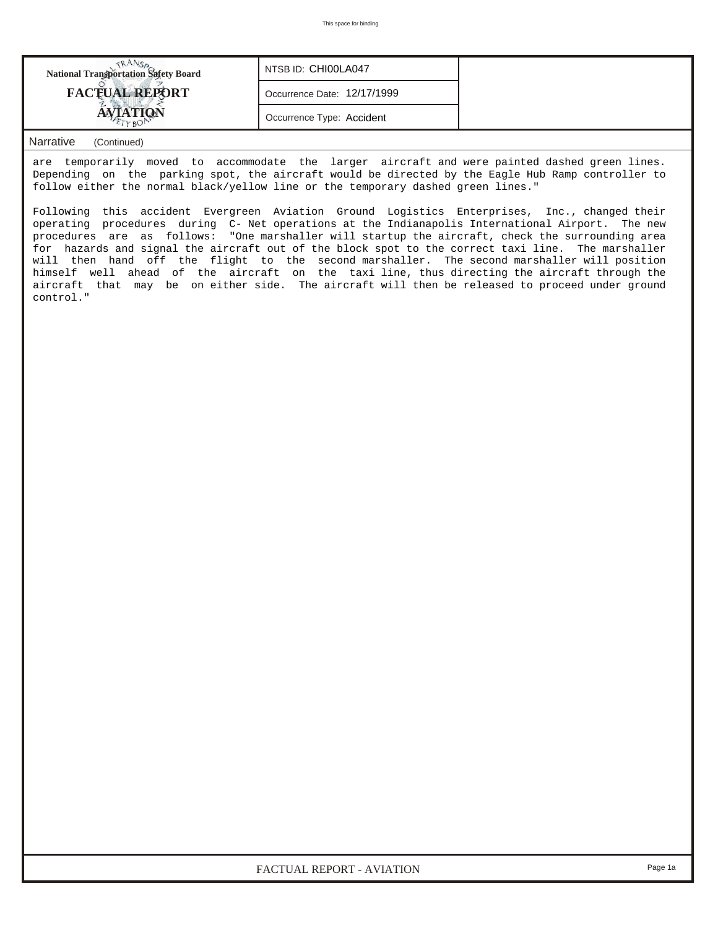| <b>National Transportation Safety Board</b> | NTSB ID: CHIOOLA047         |  |
|---------------------------------------------|-----------------------------|--|
| <b>FACTUAL REPORT</b>                       | Occurrence Date: 12/17/1999 |  |
|                                             | Occurrence Type: Accident   |  |

## *Narrative (Continued)*

are temporarily moved to accommodate the larger aircraft and were painted dashed green lines. Depending on the parking spot, the aircraft would be directed by the Eagle Hub Ramp controller to follow either the normal black/yellow line or the temporary dashed green lines."

Following this accident Evergreen Aviation Ground Logistics Enterprises, Inc., changed their operating procedures during C- Net operations at the Indianapolis International Airport. The new procedures are as follows: "One marshaller will startup the aircraft, check the surrounding area for hazards and signal the aircraft out of the block spot to the correct taxi line. The marshaller will then hand off the flight to the second marshaller. The second marshaller will position himself well ahead of the aircraft on the taxi line, thus directing the aircraft through the aircraft that may be on either side. The aircraft will then be released to proceed under ground control."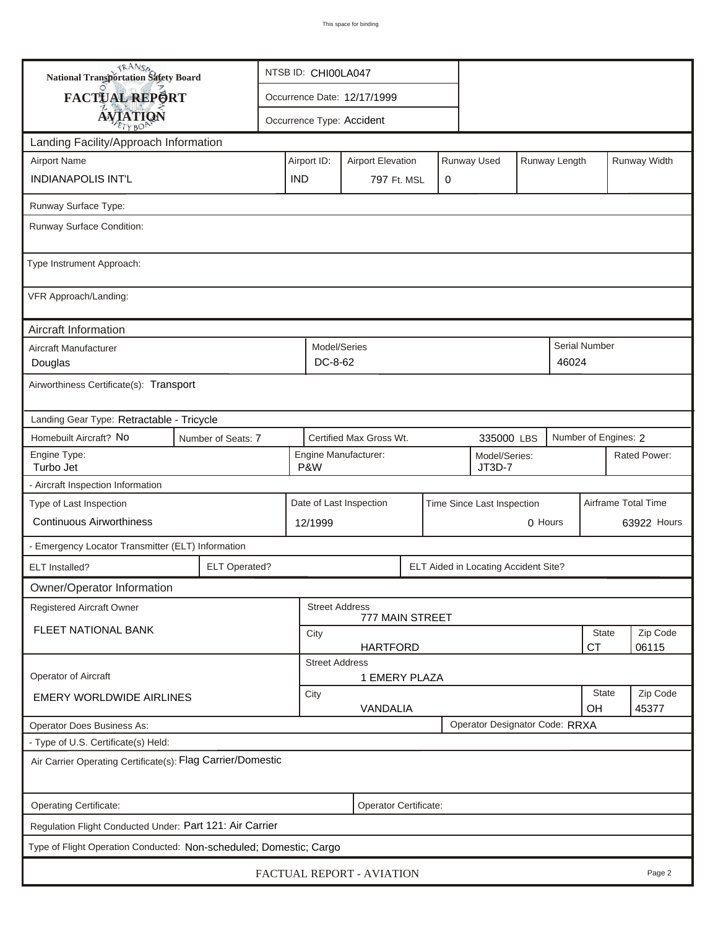| <b>National Transportation Safety Board</b>                        | NTSB ID: CHI00LA047                                          |                                                 |                                                       |                            |                   |               |                      |                   |  |  |
|--------------------------------------------------------------------|--------------------------------------------------------------|-------------------------------------------------|-------------------------------------------------------|----------------------------|-------------------|---------------|----------------------|-------------------|--|--|
| FACTUAL REPORT                                                     |                                                              |                                                 | Occurrence Date: 12/17/1999                           |                            |                   |               |                      |                   |  |  |
| <b>AVIATION</b>                                                    |                                                              |                                                 | Occurrence Type: Accident                             |                            |                   |               |                      |                   |  |  |
| Landing Facility/Approach Information                              |                                                              |                                                 |                                                       |                            |                   |               |                      |                   |  |  |
| <b>Airport Name</b>                                                |                                                              | Airport ID:                                     | <b>Airport Elevation</b>                              |                            | Runway Used       | Runway Length |                      | Runway Width      |  |  |
| <b>INDIANAPOLIS INT'L</b>                                          |                                                              | <b>IND</b>                                      |                                                       | 797 Ft. MSL<br>$\mathbf 0$ |                   |               |                      |                   |  |  |
| Runway Surface Type:                                               |                                                              |                                                 |                                                       |                            |                   |               |                      |                   |  |  |
| Runway Surface Condition:                                          |                                                              |                                                 |                                                       |                            |                   |               |                      |                   |  |  |
| Type Instrument Approach:                                          |                                                              |                                                 |                                                       |                            |                   |               |                      |                   |  |  |
| VFR Approach/Landing:                                              |                                                              |                                                 |                                                       |                            |                   |               |                      |                   |  |  |
| Aircraft Information                                               |                                                              |                                                 |                                                       |                            |                   |               |                      |                   |  |  |
| Aircraft Manufacturer<br>Douglas                                   |                                                              |                                                 | Model/Series<br>DC-8-62                               | Serial Number<br>46024     |                   |               |                      |                   |  |  |
| Airworthiness Certificate(s): Transport                            |                                                              |                                                 |                                                       |                            |                   |               |                      |                   |  |  |
| Landing Gear Type: Retractable - Tricycle                          |                                                              |                                                 |                                                       |                            |                   |               |                      |                   |  |  |
| Homebuilt Aircraft? No<br>Number of Seats: 7                       |                                                              |                                                 | Certified Max Gross Wt.                               |                            | 335000 LBS        |               | Number of Engines: 2 |                   |  |  |
| Engine Type:<br>Turbo Jet                                          | P&W                                                          | Engine Manufacturer:<br>Model/Series:<br>JT3D-7 |                                                       |                            |                   |               | Rated Power:         |                   |  |  |
| - Aircraft Inspection Information                                  |                                                              |                                                 |                                                       |                            |                   |               |                      |                   |  |  |
| Type of Last Inspection                                            |                                                              |                                                 | Date of Last Inspection<br>Time Since Last Inspection |                            |                   |               | Airframe Total Time  |                   |  |  |
| <b>Continuous Airworthiness</b>                                    | 12/1999                                                      | 0 Hours                                         |                                                       |                            |                   |               | 63922 Hours          |                   |  |  |
| - Emergency Locator Transmitter (ELT) Information                  |                                                              |                                                 |                                                       |                            |                   |               |                      |                   |  |  |
| <b>ELT</b> Installed?                                              | <b>ELT Operated?</b><br>ELT Aided in Locating Accident Site? |                                                 |                                                       |                            |                   |               |                      |                   |  |  |
| Owner/Operator Information                                         |                                                              |                                                 |                                                       |                            |                   |               |                      |                   |  |  |
| <b>Registered Aircraft Owner</b>                                   |                                                              |                                                 | <b>Street Address</b>                                 | 777 MAIN STREET            |                   |               |                      |                   |  |  |
| FLEET NATIONAL BANK                                                |                                                              |                                                 |                                                       | State                      | Zip Code<br>06115 |               |                      |                   |  |  |
| <b>CT</b><br><b>HARTFORD</b><br><b>Street Address</b>              |                                                              |                                                 |                                                       |                            |                   |               |                      |                   |  |  |
| Operator of Aircraft                                               |                                                              |                                                 | 1 EMERY PLAZA                                         |                            |                   |               |                      |                   |  |  |
| <b>EMERY WORLDWIDE AIRLINES</b>                                    |                                                              |                                                 | <b>State</b><br>City<br>VANDALIA<br>OH                |                            |                   |               |                      | Zip Code<br>45377 |  |  |
| Operator Designator Code: RRXA<br>Operator Does Business As:       |                                                              |                                                 |                                                       |                            |                   |               |                      |                   |  |  |
| - Type of U.S. Certificate(s) Held:                                |                                                              |                                                 |                                                       |                            |                   |               |                      |                   |  |  |
| Air Carrier Operating Certificate(s): Flag Carrier/Domestic        |                                                              |                                                 |                                                       |                            |                   |               |                      |                   |  |  |
| Operating Certificate:<br>Operator Certificate:                    |                                                              |                                                 |                                                       |                            |                   |               |                      |                   |  |  |
| Regulation Flight Conducted Under: Part 121: Air Carrier           |                                                              |                                                 |                                                       |                            |                   |               |                      |                   |  |  |
| Type of Flight Operation Conducted: Non-scheduled; Domestic; Cargo |                                                              |                                                 |                                                       |                            |                   |               |                      |                   |  |  |
| FACTUAL REPORT - AVIATION<br>Page 2                                |                                                              |                                                 |                                                       |                            |                   |               |                      |                   |  |  |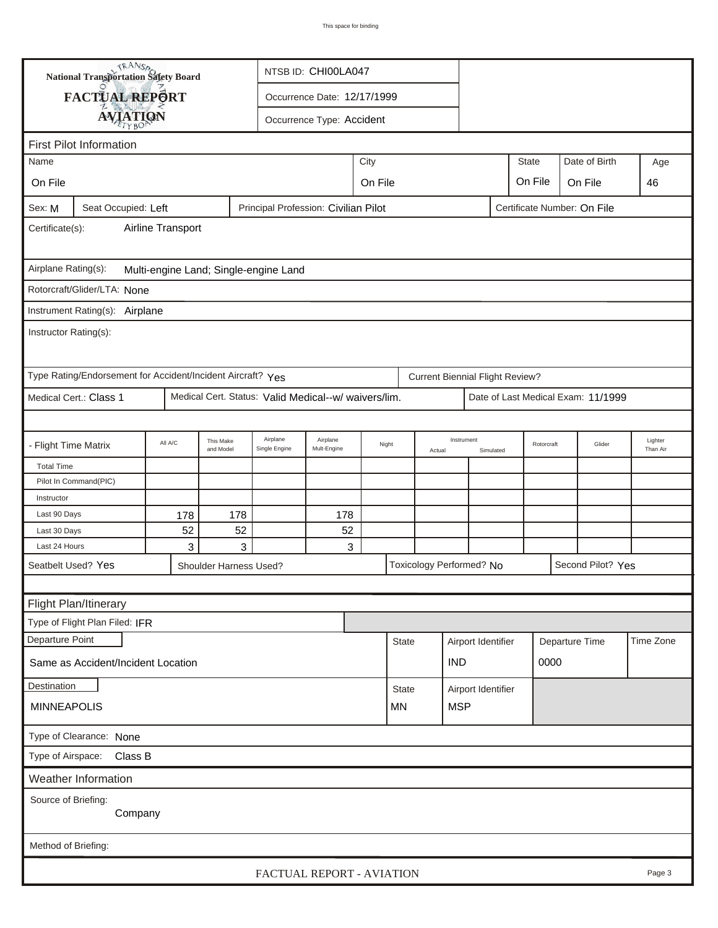|                                                                                                      | <b>National Transportation Safety Board</b>                 |           |                        | NTSB ID: CHI00LA047                                  |                                            |                  |              |                         |                                        |  |              |                     |                                    |           |
|------------------------------------------------------------------------------------------------------|-------------------------------------------------------------|-----------|------------------------|------------------------------------------------------|--------------------------------------------|------------------|--------------|-------------------------|----------------------------------------|--|--------------|---------------------|------------------------------------|-----------|
|                                                                                                      | FACTUAL REPORT                                              |           |                        | Occurrence Date: 12/17/1999                          |                                            |                  |              |                         |                                        |  |              |                     |                                    |           |
|                                                                                                      |                                                             |           |                        |                                                      |                                            |                  |              |                         |                                        |  |              |                     |                                    |           |
| <b>AVIATION</b><br>Occurrence Type: Accident                                                         |                                                             |           |                        |                                                      |                                            |                  |              |                         |                                        |  |              |                     |                                    |           |
|                                                                                                      | <b>First Pilot Information</b>                              |           |                        |                                                      |                                            |                  |              |                         |                                        |  |              |                     |                                    |           |
| Name                                                                                                 |                                                             |           |                        |                                                      |                                            | City             |              |                         |                                        |  | <b>State</b> |                     | Date of Birth                      | Age       |
| On File                                                                                              |                                                             |           |                        |                                                      |                                            | On File          |              |                         |                                        |  | On File      |                     | On File                            | 46        |
| Principal Profession: Civilian Pilot<br>Certificate Number: On File<br>Seat Occupied: Left<br>Sex: M |                                                             |           |                        |                                                      |                                            |                  |              |                         |                                        |  |              |                     |                                    |           |
| Airline Transport<br>Certificate(s):                                                                 |                                                             |           |                        |                                                      |                                            |                  |              |                         |                                        |  |              |                     |                                    |           |
| Airplane Rating(s):<br>Multi-engine Land; Single-engine Land                                         |                                                             |           |                        |                                                      |                                            |                  |              |                         |                                        |  |              |                     |                                    |           |
|                                                                                                      | Rotorcraft/Glider/LTA: None                                 |           |                        |                                                      |                                            |                  |              |                         |                                        |  |              |                     |                                    |           |
|                                                                                                      | Instrument Rating(s): Airplane                              |           |                        |                                                      |                                            |                  |              |                         |                                        |  |              |                     |                                    |           |
| Instructor Rating(s):                                                                                |                                                             |           |                        |                                                      |                                            |                  |              |                         |                                        |  |              |                     |                                    |           |
|                                                                                                      | Type Rating/Endorsement for Accident/Incident Aircraft? Yes |           |                        |                                                      |                                            |                  |              |                         | <b>Current Biennial Flight Review?</b> |  |              |                     |                                    |           |
|                                                                                                      | Medical Cert.: Class 1                                      |           |                        | Medical Cert. Status: Valid Medical--w/ waivers/lim. |                                            |                  |              |                         |                                        |  |              |                     | Date of Last Medical Exam: 11/1999 |           |
|                                                                                                      |                                                             |           |                        |                                                      |                                            |                  |              |                         |                                        |  |              |                     |                                    |           |
| - Flight Time Matrix                                                                                 |                                                             | All A/C   | This Make<br>and Model | Airplane<br>Single Engine                            | Airplane<br>Night<br>Mult-Engine<br>Actual |                  | Instrument   | Rotorcraft<br>Simulated |                                        |  | Glider       | Lighter<br>Than Air |                                    |           |
| <b>Total Time</b>                                                                                    |                                                             |           |                        |                                                      |                                            |                  |              |                         |                                        |  |              |                     |                                    |           |
|                                                                                                      | Pilot In Command(PIC)                                       |           |                        |                                                      |                                            |                  |              |                         |                                        |  |              |                     |                                    |           |
| Instructor<br>Last 90 Days                                                                           |                                                             |           |                        |                                                      |                                            |                  |              |                         |                                        |  |              |                     |                                    |           |
| Last 30 Days                                                                                         |                                                             | 178<br>52 | 178<br>52              |                                                      | 178<br>52                                  |                  |              |                         |                                        |  |              |                     |                                    |           |
| Last 24 Hours                                                                                        |                                                             | 3         | 3                      |                                                      | 3                                          |                  |              |                         |                                        |  |              |                     |                                    |           |
|                                                                                                      | Seatbelt Used? Yes                                          |           |                        |                                                      |                                            |                  |              |                         |                                        |  |              |                     | Second Pilot? Yes                  |           |
| Toxicology Performed? No<br>Shoulder Harness Used?                                                   |                                                             |           |                        |                                                      |                                            |                  |              |                         |                                        |  |              |                     |                                    |           |
|                                                                                                      | Flight Plan/Itinerary                                       |           |                        |                                                      |                                            |                  |              |                         |                                        |  |              |                     |                                    |           |
|                                                                                                      | Type of Flight Plan Filed: IFR                              |           |                        |                                                      |                                            |                  |              |                         |                                        |  |              |                     |                                    |           |
| Departure Point                                                                                      |                                                             |           |                        |                                                      |                                            |                  | <b>State</b> |                         | Airport Identifier                     |  |              |                     | Departure Time                     | Time Zone |
| Same as Accident/Incident Location                                                                   |                                                             |           |                        |                                                      |                                            |                  |              | <b>IND</b>              |                                        |  | 0000         |                     |                                    |           |
| Destination                                                                                          |                                                             |           |                        |                                                      |                                            | <b>State</b>     |              |                         | Airport Identifier                     |  |              |                     |                                    |           |
| <b>MINNEAPOLIS</b>                                                                                   |                                                             |           |                        |                                                      |                                            | <b>MSP</b><br>MN |              |                         |                                        |  |              |                     |                                    |           |
| Type of Clearance: None                                                                              |                                                             |           |                        |                                                      |                                            |                  |              |                         |                                        |  |              |                     |                                    |           |
| Class B<br>Type of Airspace:                                                                         |                                                             |           |                        |                                                      |                                            |                  |              |                         |                                        |  |              |                     |                                    |           |
| <b>Weather Information</b>                                                                           |                                                             |           |                        |                                                      |                                            |                  |              |                         |                                        |  |              |                     |                                    |           |
| Source of Briefing:<br>Company                                                                       |                                                             |           |                        |                                                      |                                            |                  |              |                         |                                        |  |              |                     |                                    |           |
| Method of Briefing:                                                                                  |                                                             |           |                        |                                                      |                                            |                  |              |                         |                                        |  |              |                     |                                    |           |
| FACTUAL REPORT - AVIATION<br>Page 3                                                                  |                                                             |           |                        |                                                      |                                            |                  |              |                         |                                        |  |              |                     |                                    |           |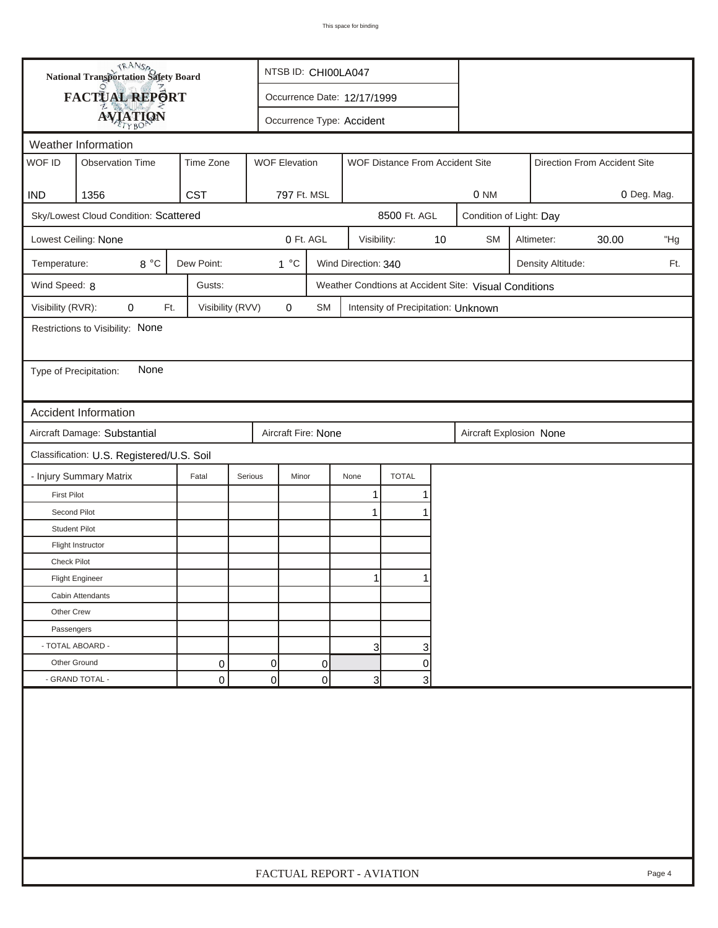| <b>National Transportation Safety Board</b><br>FACTUAL REPORT<br>Occurrence Date: 12/17/1999<br><b>AVIATION</b><br>Occurrence Type: Accident<br>Weather Information<br>WOF ID<br><b>WOF Elevation</b><br><b>Observation Time</b><br>Time Zone<br>WOF Distance From Accident Site<br>Direction From Accident Site<br><b>CST</b><br>1356<br>797 Ft. MSL<br>0 NM<br><b>IND</b><br>Sky/Lowest Cloud Condition: Scattered<br>8500 Ft. AGL<br>Condition of Light: Day<br>0 Ft. AGL<br>Lowest Ceiling: None<br>10<br><b>SM</b><br>Altimeter:<br>30.00<br>Visibility:<br>8 °C<br>Dew Point:<br>$1^{\circ}C$<br>Wind Direction: 340<br>Temperature:<br>Density Altitude:<br>Wind Speed: 8<br>Gusts:<br>Weather Condtions at Accident Site: Visual Conditions<br>Visibility (RVR):<br>0<br>Visibility (RVV)<br>$\pmb{0}$<br>Ft.<br>SM<br>Intensity of Precipitation: Unknown<br>Restrictions to Visibility: None<br>None<br>Type of Precipitation:<br><b>Accident Information</b><br>Aircraft Damage: Substantial<br>Aircraft Fire: None<br>Aircraft Explosion None | 0 Deg. Mag.<br>"Hg<br>Ft. |
|-----------------------------------------------------------------------------------------------------------------------------------------------------------------------------------------------------------------------------------------------------------------------------------------------------------------------------------------------------------------------------------------------------------------------------------------------------------------------------------------------------------------------------------------------------------------------------------------------------------------------------------------------------------------------------------------------------------------------------------------------------------------------------------------------------------------------------------------------------------------------------------------------------------------------------------------------------------------------------------------------------------------------------------------------------------|---------------------------|
|                                                                                                                                                                                                                                                                                                                                                                                                                                                                                                                                                                                                                                                                                                                                                                                                                                                                                                                                                                                                                                                           |                           |
|                                                                                                                                                                                                                                                                                                                                                                                                                                                                                                                                                                                                                                                                                                                                                                                                                                                                                                                                                                                                                                                           |                           |
|                                                                                                                                                                                                                                                                                                                                                                                                                                                                                                                                                                                                                                                                                                                                                                                                                                                                                                                                                                                                                                                           |                           |
|                                                                                                                                                                                                                                                                                                                                                                                                                                                                                                                                                                                                                                                                                                                                                                                                                                                                                                                                                                                                                                                           |                           |
|                                                                                                                                                                                                                                                                                                                                                                                                                                                                                                                                                                                                                                                                                                                                                                                                                                                                                                                                                                                                                                                           |                           |
|                                                                                                                                                                                                                                                                                                                                                                                                                                                                                                                                                                                                                                                                                                                                                                                                                                                                                                                                                                                                                                                           |                           |
|                                                                                                                                                                                                                                                                                                                                                                                                                                                                                                                                                                                                                                                                                                                                                                                                                                                                                                                                                                                                                                                           |                           |
|                                                                                                                                                                                                                                                                                                                                                                                                                                                                                                                                                                                                                                                                                                                                                                                                                                                                                                                                                                                                                                                           |                           |
|                                                                                                                                                                                                                                                                                                                                                                                                                                                                                                                                                                                                                                                                                                                                                                                                                                                                                                                                                                                                                                                           |                           |
|                                                                                                                                                                                                                                                                                                                                                                                                                                                                                                                                                                                                                                                                                                                                                                                                                                                                                                                                                                                                                                                           |                           |
|                                                                                                                                                                                                                                                                                                                                                                                                                                                                                                                                                                                                                                                                                                                                                                                                                                                                                                                                                                                                                                                           |                           |
|                                                                                                                                                                                                                                                                                                                                                                                                                                                                                                                                                                                                                                                                                                                                                                                                                                                                                                                                                                                                                                                           |                           |
|                                                                                                                                                                                                                                                                                                                                                                                                                                                                                                                                                                                                                                                                                                                                                                                                                                                                                                                                                                                                                                                           |                           |
|                                                                                                                                                                                                                                                                                                                                                                                                                                                                                                                                                                                                                                                                                                                                                                                                                                                                                                                                                                                                                                                           |                           |
|                                                                                                                                                                                                                                                                                                                                                                                                                                                                                                                                                                                                                                                                                                                                                                                                                                                                                                                                                                                                                                                           |                           |
|                                                                                                                                                                                                                                                                                                                                                                                                                                                                                                                                                                                                                                                                                                                                                                                                                                                                                                                                                                                                                                                           |                           |
|                                                                                                                                                                                                                                                                                                                                                                                                                                                                                                                                                                                                                                                                                                                                                                                                                                                                                                                                                                                                                                                           |                           |
| Classification: U.S. Registered/U.S. Soil                                                                                                                                                                                                                                                                                                                                                                                                                                                                                                                                                                                                                                                                                                                                                                                                                                                                                                                                                                                                                 |                           |
| <b>TOTAL</b><br>- Injury Summary Matrix<br>Fatal<br>Serious<br>Minor<br>None                                                                                                                                                                                                                                                                                                                                                                                                                                                                                                                                                                                                                                                                                                                                                                                                                                                                                                                                                                              |                           |
| <b>First Pilot</b><br>1                                                                                                                                                                                                                                                                                                                                                                                                                                                                                                                                                                                                                                                                                                                                                                                                                                                                                                                                                                                                                                   |                           |
| Second Pilot<br>$\mathbf 1$                                                                                                                                                                                                                                                                                                                                                                                                                                                                                                                                                                                                                                                                                                                                                                                                                                                                                                                                                                                                                               |                           |
| <b>Student Pilot</b>                                                                                                                                                                                                                                                                                                                                                                                                                                                                                                                                                                                                                                                                                                                                                                                                                                                                                                                                                                                                                                      |                           |
| Flight Instructor                                                                                                                                                                                                                                                                                                                                                                                                                                                                                                                                                                                                                                                                                                                                                                                                                                                                                                                                                                                                                                         |                           |
| <b>Check Pilot</b>                                                                                                                                                                                                                                                                                                                                                                                                                                                                                                                                                                                                                                                                                                                                                                                                                                                                                                                                                                                                                                        |                           |
| <b>Flight Engineer</b>                                                                                                                                                                                                                                                                                                                                                                                                                                                                                                                                                                                                                                                                                                                                                                                                                                                                                                                                                                                                                                    |                           |
| Cabin Attendants                                                                                                                                                                                                                                                                                                                                                                                                                                                                                                                                                                                                                                                                                                                                                                                                                                                                                                                                                                                                                                          |                           |
| Other Crew                                                                                                                                                                                                                                                                                                                                                                                                                                                                                                                                                                                                                                                                                                                                                                                                                                                                                                                                                                                                                                                |                           |
| Passengers                                                                                                                                                                                                                                                                                                                                                                                                                                                                                                                                                                                                                                                                                                                                                                                                                                                                                                                                                                                                                                                |                           |
| - TOTAL ABOARD -<br>3<br>3                                                                                                                                                                                                                                                                                                                                                                                                                                                                                                                                                                                                                                                                                                                                                                                                                                                                                                                                                                                                                                |                           |
| 0<br>Other Ground<br>0<br>0<br>0                                                                                                                                                                                                                                                                                                                                                                                                                                                                                                                                                                                                                                                                                                                                                                                                                                                                                                                                                                                                                          |                           |
| - GRAND TOTAL -<br>$\overline{0}$<br>0<br>0<br>$\overline{3}$<br>3                                                                                                                                                                                                                                                                                                                                                                                                                                                                                                                                                                                                                                                                                                                                                                                                                                                                                                                                                                                        |                           |